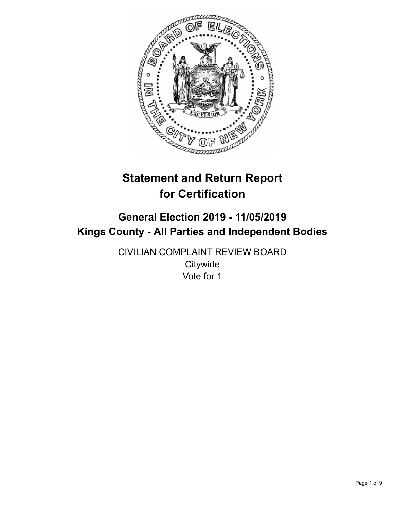

# **Statement and Return Report for Certification**

## **General Election 2019 - 11/05/2019 Kings County - All Parties and Independent Bodies**

CIVILIAN COMPLAINT REVIEW BOARD **Citywide** Vote for 1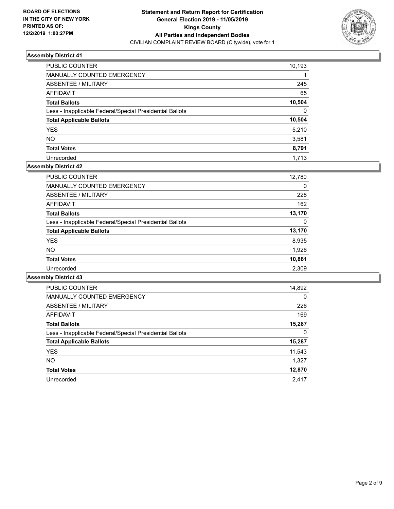

| PUBLIC COUNTER                                           | 10,193   |
|----------------------------------------------------------|----------|
| <b>MANUALLY COUNTED EMERGENCY</b>                        |          |
| ABSENTEE / MILITARY                                      | 245      |
| AFFIDAVIT                                                | 65       |
| <b>Total Ballots</b>                                     | 10,504   |
| Less - Inapplicable Federal/Special Presidential Ballots | $\Omega$ |
| <b>Total Applicable Ballots</b>                          | 10,504   |
| <b>YES</b>                                               | 5.210    |
| <b>NO</b>                                                | 3,581    |
| <b>Total Votes</b>                                       | 8,791    |
| Unrecorded                                               | 1,713    |

## **Assembly District 42**

| <b>PUBLIC COUNTER</b>                                    | 12,780 |
|----------------------------------------------------------|--------|
| <b>MANUALLY COUNTED EMERGENCY</b>                        | 0      |
| ABSENTEE / MILITARY                                      | 228    |
| AFFIDAVIT                                                | 162    |
| <b>Total Ballots</b>                                     | 13,170 |
| Less - Inapplicable Federal/Special Presidential Ballots | 0      |
| <b>Total Applicable Ballots</b>                          | 13,170 |
| <b>YES</b>                                               | 8,935  |
| <b>NO</b>                                                | 1,926  |
| <b>Total Votes</b>                                       | 10,861 |
| Unrecorded                                               | 2,309  |
|                                                          |        |

| PUBLIC COUNTER                                           | 14,892   |
|----------------------------------------------------------|----------|
| <b>MANUALLY COUNTED EMERGENCY</b>                        | $\Omega$ |
| ABSENTEE / MILITARY                                      | 226      |
| AFFIDAVIT                                                | 169      |
| <b>Total Ballots</b>                                     | 15,287   |
| Less - Inapplicable Federal/Special Presidential Ballots | 0        |
| <b>Total Applicable Ballots</b>                          | 15,287   |
| <b>YES</b>                                               | 11,543   |
| <b>NO</b>                                                | 1,327    |
| <b>Total Votes</b>                                       | 12,870   |
| Unrecorded                                               | 2.417    |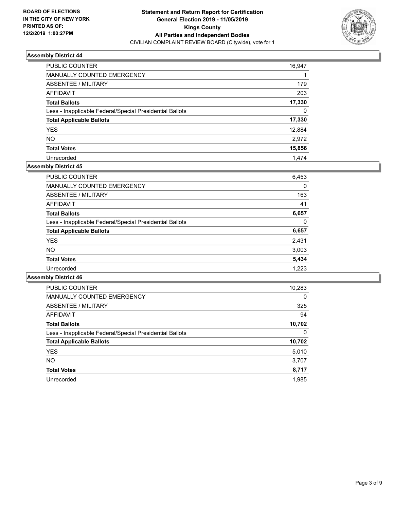

| PUBLIC COUNTER                                           | 16,947   |
|----------------------------------------------------------|----------|
| <b>MANUALLY COUNTED EMERGENCY</b>                        |          |
| <b>ABSENTEE / MILITARY</b>                               | 179      |
| AFFIDAVIT                                                | 203      |
| <b>Total Ballots</b>                                     | 17,330   |
| Less - Inapplicable Federal/Special Presidential Ballots | $\Omega$ |
| <b>Total Applicable Ballots</b>                          | 17,330   |
| <b>YES</b>                                               | 12,884   |
| <b>NO</b>                                                | 2.972    |
| <b>Total Votes</b>                                       | 15,856   |
| Unrecorded                                               | 1.474    |

#### **Assembly District 45**

| <b>PUBLIC COUNTER</b>                                    | 6,453    |
|----------------------------------------------------------|----------|
| <b>MANUALLY COUNTED EMERGENCY</b>                        | 0        |
| ABSENTEE / MILITARY                                      | 163      |
| AFFIDAVIT                                                | 41       |
| <b>Total Ballots</b>                                     | 6,657    |
| Less - Inapplicable Federal/Special Presidential Ballots | $\Omega$ |
| <b>Total Applicable Ballots</b>                          | 6,657    |
| <b>YES</b>                                               | 2,431    |
| NO.                                                      | 3,003    |
| <b>Total Votes</b>                                       | 5,434    |
| Unrecorded                                               | 1.223    |

| <b>PUBLIC COUNTER</b>                                    | 10,283   |
|----------------------------------------------------------|----------|
| <b>MANUALLY COUNTED EMERGENCY</b>                        | $\Omega$ |
| ABSENTEE / MILITARY                                      | 325      |
| <b>AFFIDAVIT</b>                                         | 94       |
| <b>Total Ballots</b>                                     | 10,702   |
| Less - Inapplicable Federal/Special Presidential Ballots | 0        |
| <b>Total Applicable Ballots</b>                          | 10,702   |
| <b>YES</b>                                               | 5,010    |
| NO.                                                      | 3,707    |
| <b>Total Votes</b>                                       | 8,717    |
| Unrecorded                                               | 1.985    |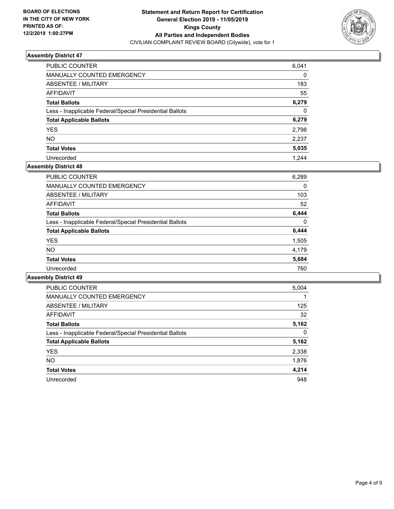

| PUBLIC COUNTER                                           | 6,041    |
|----------------------------------------------------------|----------|
| <b>MANUALLY COUNTED EMERGENCY</b>                        | $\Omega$ |
| ABSENTEE / MILITARY                                      | 183      |
| AFFIDAVIT                                                | 55       |
| <b>Total Ballots</b>                                     | 6,279    |
| Less - Inapplicable Federal/Special Presidential Ballots | $\Omega$ |
| <b>Total Applicable Ballots</b>                          | 6,279    |
| <b>YES</b>                                               | 2,798    |
| <b>NO</b>                                                | 2,237    |
| <b>Total Votes</b>                                       | 5,035    |
| Unrecorded                                               | 1.244    |

## **Assembly District 48**

| <b>PUBLIC COUNTER</b>                                    | 6,289    |
|----------------------------------------------------------|----------|
| <b>MANUALLY COUNTED EMERGENCY</b>                        | 0        |
| ABSENTEE / MILITARY                                      | 103      |
| AFFIDAVIT                                                | 52       |
| <b>Total Ballots</b>                                     | 6,444    |
| Less - Inapplicable Federal/Special Presidential Ballots | $\Omega$ |
| <b>Total Applicable Ballots</b>                          | 6,444    |
| <b>YES</b>                                               | 1,505    |
| NO.                                                      | 4.179    |
| <b>Total Votes</b>                                       | 5,684    |
| Unrecorded                                               | 760      |

| <b>PUBLIC COUNTER</b>                                    | 5,004    |
|----------------------------------------------------------|----------|
| <b>MANUALLY COUNTED EMERGENCY</b>                        |          |
| ABSENTEE / MILITARY                                      | 125      |
| AFFIDAVIT                                                | 32       |
| <b>Total Ballots</b>                                     | 5,162    |
| Less - Inapplicable Federal/Special Presidential Ballots | $\Omega$ |
| <b>Total Applicable Ballots</b>                          | 5,162    |
| <b>YES</b>                                               | 2,338    |
| NO.                                                      | 1,876    |
| <b>Total Votes</b>                                       | 4,214    |
| Unrecorded                                               | 948      |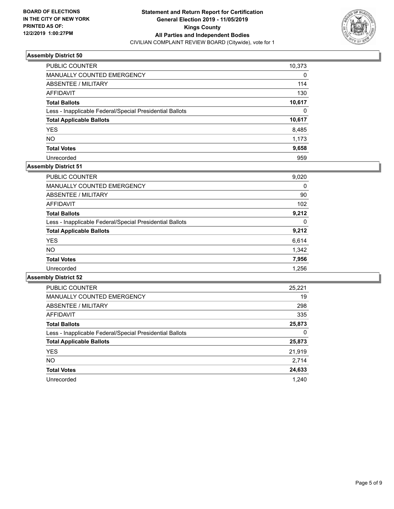

| PUBLIC COUNTER                                           | 10,373   |
|----------------------------------------------------------|----------|
| MANUALLY COUNTED EMERGENCY                               | $\Omega$ |
| ABSENTEE / MILITARY                                      | 114      |
| AFFIDAVIT                                                | 130      |
| <b>Total Ballots</b>                                     | 10,617   |
| Less - Inapplicable Federal/Special Presidential Ballots | $\Omega$ |
| <b>Total Applicable Ballots</b>                          | 10,617   |
| <b>YES</b>                                               | 8,485    |
| <b>NO</b>                                                | 1,173    |
| <b>Total Votes</b>                                       | 9,658    |
| Unrecorded                                               | 959      |

## **Assembly District 51**

| <b>PUBLIC COUNTER</b>                                    | 9,020 |
|----------------------------------------------------------|-------|
| <b>MANUALLY COUNTED EMERGENCY</b>                        | 0     |
| ABSENTEE / MILITARY                                      | 90    |
| AFFIDAVIT                                                | 102   |
| <b>Total Ballots</b>                                     | 9,212 |
| Less - Inapplicable Federal/Special Presidential Ballots | 0     |
| <b>Total Applicable Ballots</b>                          | 9,212 |
| <b>YES</b>                                               | 6,614 |
| NO.                                                      | 1,342 |
| <b>Total Votes</b>                                       | 7,956 |
| Unrecorded                                               | 1.256 |

| <b>PUBLIC COUNTER</b>                                    | 25,221 |
|----------------------------------------------------------|--------|
| <b>MANUALLY COUNTED EMERGENCY</b>                        | 19     |
| ABSENTEE / MILITARY                                      | 298    |
| AFFIDAVIT                                                | 335    |
| <b>Total Ballots</b>                                     | 25,873 |
| Less - Inapplicable Federal/Special Presidential Ballots | 0      |
| <b>Total Applicable Ballots</b>                          | 25,873 |
| <b>YES</b>                                               | 21,919 |
| NO.                                                      | 2,714  |
| <b>Total Votes</b>                                       | 24,633 |
| Unrecorded                                               | 1.240  |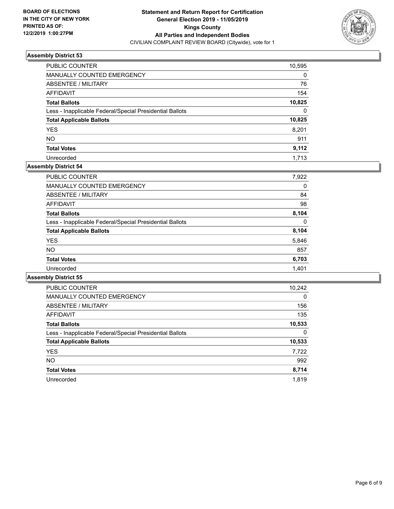

| PUBLIC COUNTER                                           | 10,595   |
|----------------------------------------------------------|----------|
| MANUALLY COUNTED EMERGENCY                               | 0        |
| ABSENTEE / MILITARY                                      | 76       |
| AFFIDAVIT                                                | 154      |
| <b>Total Ballots</b>                                     | 10,825   |
| Less - Inapplicable Federal/Special Presidential Ballots | $\Omega$ |
| <b>Total Applicable Ballots</b>                          | 10,825   |
| <b>YES</b>                                               | 8.201    |
| <b>NO</b>                                                | 911      |
| <b>Total Votes</b>                                       | 9,112    |
| Unrecorded                                               | 1,713    |

#### **Assembly District 54**

| <b>PUBLIC COUNTER</b>                                    | 7,922 |
|----------------------------------------------------------|-------|
| <b>MANUALLY COUNTED EMERGENCY</b>                        | 0     |
| ABSENTEE / MILITARY                                      | 84    |
| AFFIDAVIT                                                | 98    |
| <b>Total Ballots</b>                                     | 8.104 |
| Less - Inapplicable Federal/Special Presidential Ballots | 0     |
| <b>Total Applicable Ballots</b>                          | 8,104 |
| <b>YES</b>                                               | 5,846 |
| NO.                                                      | 857   |
| <b>Total Votes</b>                                       | 6,703 |
| Unrecorded                                               | 1.401 |

| <b>PUBLIC COUNTER</b>                                    | 10,242   |
|----------------------------------------------------------|----------|
| <b>MANUALLY COUNTED EMERGENCY</b>                        | $\Omega$ |
| ABSENTEE / MILITARY                                      | 156      |
| <b>AFFIDAVIT</b>                                         | 135      |
| <b>Total Ballots</b>                                     | 10,533   |
| Less - Inapplicable Federal/Special Presidential Ballots | 0        |
| <b>Total Applicable Ballots</b>                          | 10,533   |
| <b>YES</b>                                               | 7,722    |
| NO.                                                      | 992      |
| <b>Total Votes</b>                                       | 8,714    |
| Unrecorded                                               | 1.819    |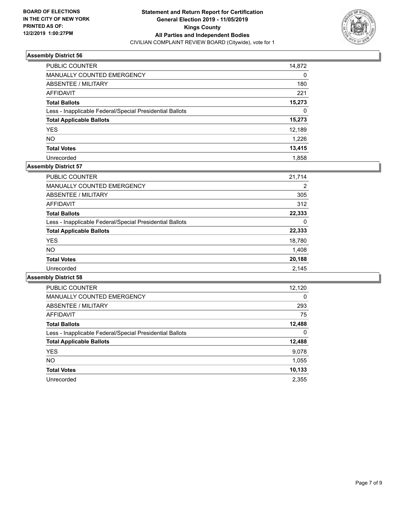

| PUBLIC COUNTER                                           | 14,872 |
|----------------------------------------------------------|--------|
| <b>MANUALLY COUNTED EMERGENCY</b>                        | 0      |
| ABSENTEE / MILITARY                                      | 180    |
| AFFIDAVIT                                                | 221    |
| <b>Total Ballots</b>                                     | 15,273 |
| Less - Inapplicable Federal/Special Presidential Ballots | 0      |
| <b>Total Applicable Ballots</b>                          | 15,273 |
| <b>YES</b>                                               | 12,189 |
| <b>NO</b>                                                | 1,226  |
| <b>Total Votes</b>                                       | 13,415 |
| Unrecorded                                               | 1.858  |

## **Assembly District 57**

| <b>PUBLIC COUNTER</b>                                    | 21,714 |
|----------------------------------------------------------|--------|
| <b>MANUALLY COUNTED EMERGENCY</b>                        | 2      |
| ABSENTEE / MILITARY                                      | 305    |
| AFFIDAVIT                                                | 312    |
| <b>Total Ballots</b>                                     | 22,333 |
| Less - Inapplicable Federal/Special Presidential Ballots | 0      |
| <b>Total Applicable Ballots</b>                          | 22,333 |
| <b>YES</b>                                               | 18,780 |
| NO.                                                      | 1,408  |
| <b>Total Votes</b>                                       | 20,188 |
| Unrecorded                                               | 2.145  |

| <b>PUBLIC COUNTER</b>                                    | 12,120   |
|----------------------------------------------------------|----------|
| <b>MANUALLY COUNTED EMERGENCY</b>                        | $\Omega$ |
| ABSENTEE / MILITARY                                      | 293      |
| <b>AFFIDAVIT</b>                                         | 75       |
| <b>Total Ballots</b>                                     | 12,488   |
| Less - Inapplicable Federal/Special Presidential Ballots | 0        |
| <b>Total Applicable Ballots</b>                          | 12,488   |
| <b>YES</b>                                               | 9,078    |
| NO.                                                      | 1,055    |
| <b>Total Votes</b>                                       | 10,133   |
| Unrecorded                                               | 2,355    |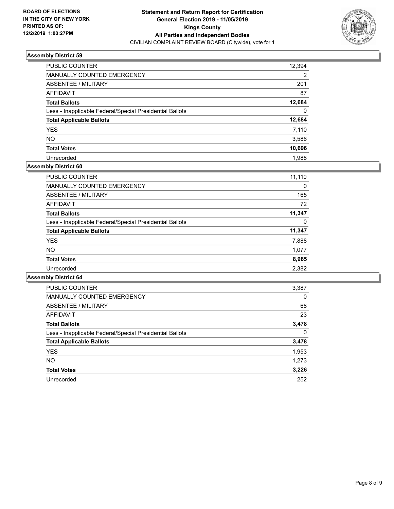

| PUBLIC COUNTER                                           | 12,394   |
|----------------------------------------------------------|----------|
| MANUALLY COUNTED EMERGENCY                               | 2        |
| ABSENTEE / MILITARY                                      | 201      |
| AFFIDAVIT                                                | 87       |
| <b>Total Ballots</b>                                     | 12,684   |
| Less - Inapplicable Federal/Special Presidential Ballots | $\Omega$ |
| <b>Total Applicable Ballots</b>                          | 12,684   |
| <b>YES</b>                                               | 7,110    |
| <b>NO</b>                                                | 3,586    |
| <b>Total Votes</b>                                       | 10,696   |
| Unrecorded                                               | 1.988    |

## **Assembly District 60**

| <b>PUBLIC COUNTER</b>                                    | 11,110   |
|----------------------------------------------------------|----------|
| <b>MANUALLY COUNTED EMERGENCY</b>                        | $\Omega$ |
| ABSENTEE / MILITARY                                      | 165      |
| AFFIDAVIT                                                | 72       |
| <b>Total Ballots</b>                                     | 11,347   |
| Less - Inapplicable Federal/Special Presidential Ballots | 0        |
| <b>Total Applicable Ballots</b>                          | 11,347   |
| <b>YES</b>                                               | 7,888    |
| NO.                                                      | 1,077    |
| <b>Total Votes</b>                                       | 8,965    |
| Unrecorded                                               | 2,382    |
|                                                          |          |

| PUBLIC COUNTER                                           | 3,387    |
|----------------------------------------------------------|----------|
| <b>MANUALLY COUNTED EMERGENCY</b>                        | $\Omega$ |
| ABSENTEE / MILITARY                                      | 68       |
| AFFIDAVIT                                                | 23       |
| <b>Total Ballots</b>                                     | 3,478    |
| Less - Inapplicable Federal/Special Presidential Ballots | $\Omega$ |
| <b>Total Applicable Ballots</b>                          | 3,478    |
| <b>YES</b>                                               | 1,953    |
| NO.                                                      | 1.273    |
| <b>Total Votes</b>                                       | 3.226    |
| Unrecorded                                               | 252      |